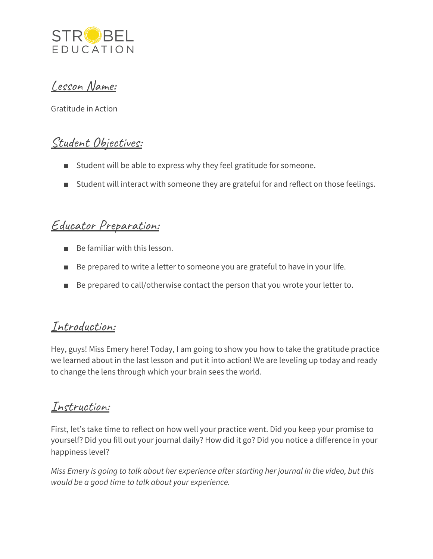

Lesson Name:

Gratitude in Action

## Student Objectives:

- Student will be able to express why they feel gratitude for someone.
- Student will interact with someone they are grateful for and reflect on those feelings.

## Educator Preparation:

- Be familiar with this lesson.
- Be prepared to write a letter to someone you are grateful to have in your life.
- Be prepared to call/otherwise contact the person that you wrote your letter to.

### Introduction:

Hey, guys! Miss Emery here! Today, I am going to show you how to take the gratitude practice we learned about in the last lesson and put it into action! We are leveling up today and ready to change the lens through which your brain sees the world.

### Instruction:

First, let's take time to reflect on how well your practice went. Did you keep your promise to yourself? Did you fill out your journal daily? How did it go? Did you notice a difference in your happiness level?

*Miss Emery is going to talk about her experience after starting her journal in the video, but this would be a good time to talk about your experience.*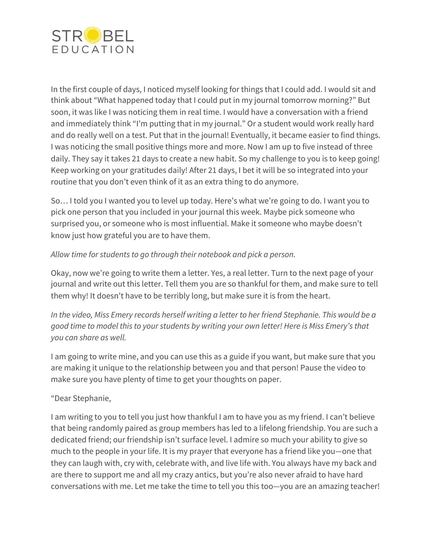

In the first couple of days, I noticed myself looking for things that I could add. I would sit and think about "What happened today that I could put in my journal tomorrow morning?" But soon, it was like I was noticing them in real time. I would have a conversation with a friend and immediately think "I'm putting that in my journal." Or a student would work really hard and do really well on a test. Put that in the journal! Eventually, it became easier to find things. I was noticing the small positive things more and more. Now I am up to five instead of three daily. They say it takes 21 days to create a new habit. So my challenge to you is to keep going! Keep working on your gratitudes daily! After 21 days, I bet it will be so integrated into your routine that you don't even think of it as an extra thing to do anymore.

So… I told you I wanted you to level up today. Here's what we're going to do. I want you to pick one person that you included in your journal this week. Maybe pick someone who surprised you, or someone who is most influential. Make it someone who maybe doesn't know just how grateful you are to have them.

#### *Allow time for students to go through their notebook and pick a person.*

Okay, now we're going to write them a letter. Yes, a real letter. Turn to the next page of your journal and write out this letter. Tell them you are so thankful for them, and make sure to tell them why! It doesn't have to be terribly long, but make sure it is from the heart.

*In the video, Miss Emery records herself writing a letter to her friend Stephanie. This would be a good time to model this to your students by writing your own letter! Here is Miss Emery's that you can share as well.*

I am going to write mine, and you can use this as a guide if you want, but make sure that you are making it unique to the relationship between you and that person! Pause the video to make sure you have plenty of time to get your thoughts on paper.

#### "Dear Stephanie,

I am writing to you to tell you just how thankful I am to have you as my friend. I can't believe that being randomly paired as group members has led to a lifelong friendship. You are such a dedicated friend; our friendship isn't surface level. I admire so much your ability to give so much to the people in your life. It is my prayer that everyone has a friend like you—one that they can laugh with, cry with, celebrate with, and live life with. You always have my back and are there to support me and all my crazy antics, but you're also never afraid to have hard conversations with me. Let me take the time to tell you this too—you are an amazing teacher!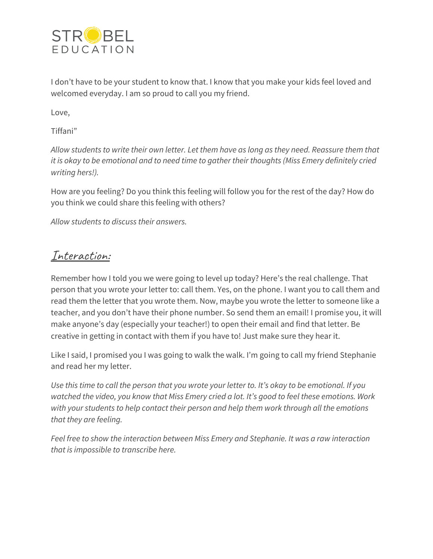

I don't have to be your student to know that. I know that you make your kids feel loved and welcomed everyday. I am so proud to call you my friend.

Love,

Tiffani"

*Allow students to write their own letter. Let them have as long as they need. Reassure them that it is okay to be emotional and to need time to gather their thoughts (Miss Emery definitely cried writing hers!).*

How are you feeling? Do you think this feeling will follow you for the rest of the day? How do you think we could share this feeling with others?

*Allow students to discuss their answers.*

### Interaction:

Remember how I told you we were going to level up today? Here's the real challenge. That person that you wrote your letter to: call them. Yes, on the phone. I want you to call them and read them the letter that you wrote them. Now, maybe you wrote the letter to someone like a teacher, and you don't have their phone number. So send them an email! I promise you, it will make anyone's day (especially your teacher!) to open their email and find that letter. Be creative in getting in contact with them if you have to! Just make sure they hear it.

Like I said, I promised you I was going to walk the walk. I'm going to call my friend Stephanie and read her my letter.

Use this time to call the person that you wrote your letter to. It's okay to be emotional. If you *watched the video, you know that Miss Emery cried a lot. It's good to feel these emotions. Work with your students to help contact their person and help them work through all the emotions that they are feeling.*

*Feel free to show the interaction between Miss Emery and Stephanie. It was a raw interaction that is impossible to transcribe here.*